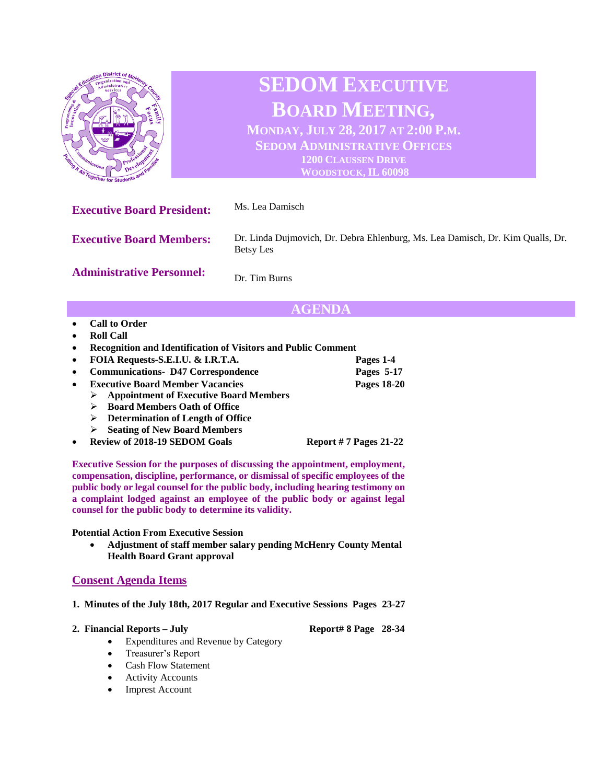

## **AGENDA**

- **Call to Order**
- **Roll Call**
- **Recognition and Identification of Visitors and Public Comment**
- **FOIA Requests-S.E.I.U. & I.R.T.A. Pages 1-4**
- **Communications- D47 Correspondence Pages 5-17**
- **Executive Board Member Vacancies Pages 18-20**
	- ➢ **Appointment of Executive Board Members**
	- ➢ **Board Members Oath of Office**
	- ➢ **Determination of Length of Office**
	- ➢ **Seating of New Board Members**
- **Review of 2018-19 SEDOM Goals Report # 7 Pages 21-22**

**Executive Session for the purposes of discussing the appointment, employment, compensation, discipline, performance, or dismissal of specific employees of the public body or legal counsel for the public body, including hearing testimony on a complaint lodged against an employee of the public body or against legal counsel for the public body to determine its validity.**

**Potential Action From Executive Session**

• **Adjustment of staff member salary pending McHenry County Mental Health Board Grant approval**

## **Consent Agenda Items**

- **1. Minutes of the July 18th, 2017 Regular and Executive Sessions Pages 23-27**
- **2. Financial Reports – July Report# 8 Page 28-34**

- Expenditures and Revenue by Category
- Treasurer's Report
- Cash Flow Statement
- Activity Accounts
- **Imprest Account**